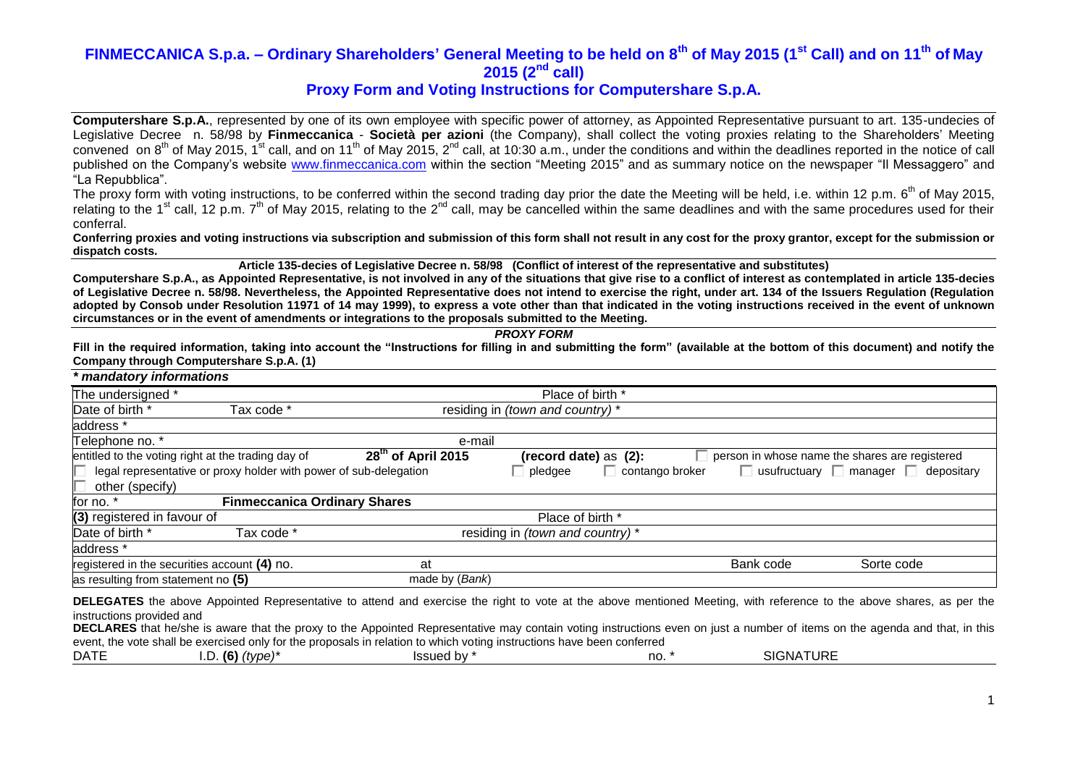## **Proxy Form and Voting Instructions for Computershare S.p.A.**

**Computershare S.p.A.**, represented by one of its own employee with specific power of attorney, as Appointed Representative pursuant to art. 135-undecies of Legislative Decree n. 58/98 by **Finmeccanica** - **Società per azioni** (the Company), shall collect the voting proxies relating to the Shareholders' Meeting convened on 8<sup>th</sup> of May 2015, 1<sup>st</sup> call, and on 11<sup>th</sup> of May 2015, 2<sup>nd</sup> call, at 10:30 a.m., under the conditions and within the deadlines reported in the notice of call published on the Company's website [www.finmeccanica.com](http://www.finmeccanica.com/) within the section "Meeting 2015" and as summary notice on the newspaper "Il Messaggero" and "La Repubblica".

The proxy form with voting instructions, to be conferred within the second trading day prior the date the Meeting will be held, i.e. within 12 p.m. 6<sup>th</sup> of May 2015, relating to the 1<sup>st</sup> call, 12 p.m. 7<sup>th</sup> of May 2015, relating to the 2<sup>nd</sup> call, may be cancelled within the same deadlines and with the same procedures used for their conferral.

**Conferring proxies and voting instructions via subscription and submission of this form shall not result in any cost for the proxy grantor, except for the submission or dispatch costs.**

**Article 135-decies of Legislative Decree n. 58/98 (Conflict of interest of the representative and substitutes)**

**Computershare S.p.A., as Appointed Representative, is not involved in any of the situations that give rise to a conflict of interest as contemplated in article 135-decies of Legislative Decree n. 58/98. Nevertheless, the Appointed Representative does not intend to exercise the right, under art. 134 of the Issuers Regulation (Regulation adopted by Consob under Resolution 11971 of 14 may 1999), to express a vote other than that indicated in the voting instructions received in the event of unknown circumstances or in the event of amendments or integrations to the proposals submitted to the Meeting.**

*PROXY FORM*

**Fill in the required information, taking into account the "Instructions for filling in and submitting the form" (available at the bottom of this document) and notify the Company through Computershare S.p.A. (1)**

| * mandatory informations                     |                                                                   |                      |                                  |                 |           |                                                      |
|----------------------------------------------|-------------------------------------------------------------------|----------------------|----------------------------------|-----------------|-----------|------------------------------------------------------|
| The undersigned *                            |                                                                   |                      | Place of birth *                 |                 |           |                                                      |
| Date of birth *                              | Tax code *                                                        |                      | residing in (town and country) * |                 |           |                                                      |
| address *                                    |                                                                   |                      |                                  |                 |           |                                                      |
| Telephone no. *                              |                                                                   | e-mail               |                                  |                 |           |                                                      |
|                                              | entitled to the voting right at the trading day of                | $28th$ of April 2015 | (record date) as (2):            |                 |           | person in whose name the shares are registered       |
|                                              | legal representative or proxy holder with power of sub-delegation |                      | pledgee                          | contango broker |           | $\Box$ usufructuary $\Box$ manager $\Box$ depositary |
| other (specify)                              |                                                                   |                      |                                  |                 |           |                                                      |
| for no. *                                    | <b>Finmeccanica Ordinary Shares</b>                               |                      |                                  |                 |           |                                                      |
| (3) registered in favour of                  |                                                                   |                      | Place of birth *                 |                 |           |                                                      |
| Date of birth *                              | Tax code *                                                        |                      | residing in (town and country) * |                 |           |                                                      |
| address *                                    |                                                                   |                      |                                  |                 |           |                                                      |
| registered in the securities account (4) no. |                                                                   | at                   |                                  |                 | Bank code | Sorte code                                           |
| as resulting from statement no (5)           |                                                                   | made by (Bank)       |                                  |                 |           |                                                      |
|                                              |                                                                   |                      |                                  |                 |           |                                                      |

**DELEGATES** the above Appointed Representative to attend and exercise the right to vote at the above mentioned Meeting, with reference to the above shares, as per the instructions provided and

**DECLARES** that he/she is aware that the proxy to the Appointed Representative may contain voting instructions even on just a number of items on the agenda and that, in this event, the vote shall be exercised only for the proposals in relation to which voting instructions have been conferred

|  | <b>DATF</b> | $\sqrt{ }$<br>tvne'<br>- 16 | <br>sued by a | no. | JATURE<br>SIGNA |
|--|-------------|-----------------------------|---------------|-----|-----------------|
|--|-------------|-----------------------------|---------------|-----|-----------------|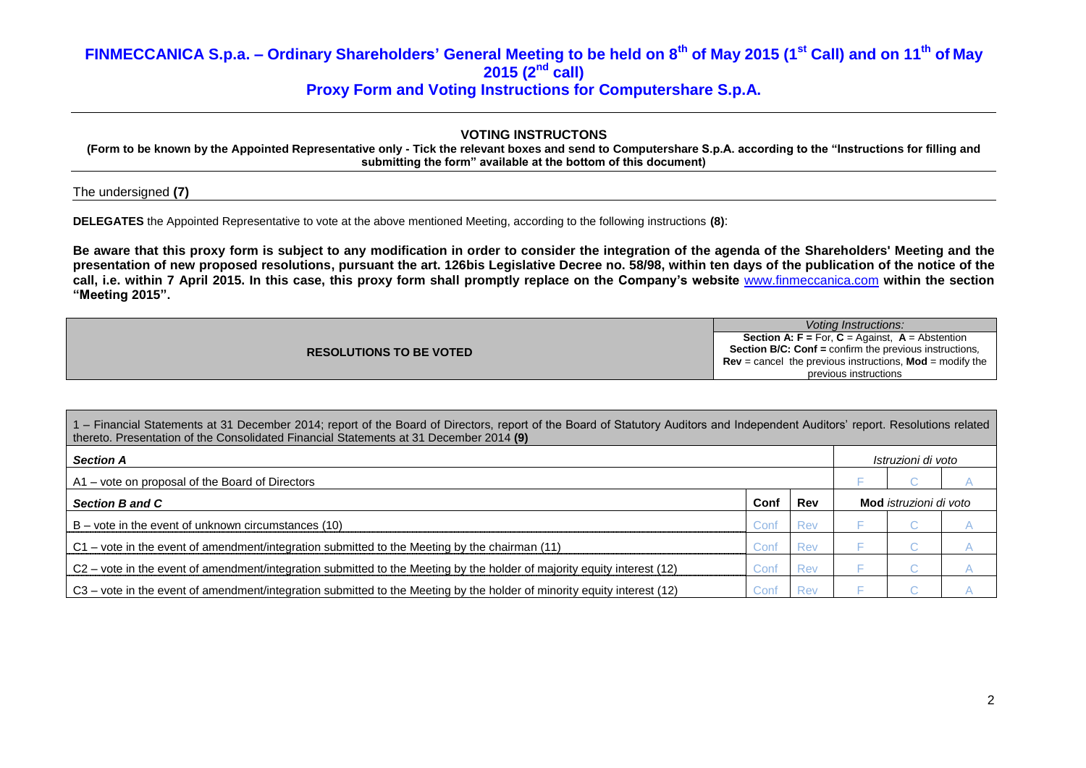## **VOTING INSTRUCTONS**

**(Form to be known by the Appointed Representative only - Tick the relevant boxes and send to Computershare S.p.A. according to the "Instructions for filling and submitting the form" available at the bottom of this document)**

The undersigned **(7)**

**DELEGATES** the Appointed Representative to vote at the above mentioned Meeting, according to the following instructions **(8)**:

**Be aware that this proxy form is subject to any modification in order to consider the integration of the agenda of the Shareholders' Meeting and the presentation of new proposed resolutions, pursuant the art. 126bis Legislative Decree no. 58/98, within ten days of the publication of the notice of the call, i.e. within 7 April 2015. In this case, this proxy form shall promptly replace on the Company's website** [www.finmeccanica.com](http://www.finmeccanica.com/) **within the section "Meeting 2015".**

|                                | Voting Instructions:                                                   |
|--------------------------------|------------------------------------------------------------------------|
|                                | <b>Section A: F</b> = For, $C =$ Against, $A =$ Abstention             |
| <b>RESOLUTIONS TO BE VOTED</b> | <b>Section B/C: Conf = confirm the previous instructions.</b>          |
|                                | <b>Rev</b> = cancel the previous instructions, <b>Mod</b> = modify the |
|                                | previous instructions                                                  |

| 1 – Financial Statements at 31 December 2014; report of the Board of Directors, report of the Board of Statutory Auditors and Independent Auditors' report. Resolutions related<br>thereto. Presentation of the Consolidated Financial Statements at 31 December 2014 (9) |      |            |  |                               |  |  |  |
|---------------------------------------------------------------------------------------------------------------------------------------------------------------------------------------------------------------------------------------------------------------------------|------|------------|--|-------------------------------|--|--|--|
| <b>Section A</b>                                                                                                                                                                                                                                                          |      |            |  | Istruzioni di voto            |  |  |  |
| A1 – vote on proposal of the Board of Directors                                                                                                                                                                                                                           |      |            |  |                               |  |  |  |
| <b>Section B and C</b>                                                                                                                                                                                                                                                    | Conf | Rev        |  | <b>Mod</b> istruzioni di voto |  |  |  |
| $B$ – vote in the event of unknown circumstances (10)                                                                                                                                                                                                                     | Conf | <b>Rev</b> |  | u                             |  |  |  |
| C1 – vote in the event of amendment/integration submitted to the Meeting by the chairman (11)                                                                                                                                                                             | Conf | <b>Rev</b> |  | u                             |  |  |  |
| C2 – vote in the event of amendment/integration submitted to the Meeting by the holder of majority equity interest (12)                                                                                                                                                   | Conf | Rev        |  | $\sim$                        |  |  |  |
| C3 – vote in the event of amendment/integration submitted to the Meeting by the holder of minority equity interest (12)                                                                                                                                                   | Conf | <b>Rev</b> |  | . .                           |  |  |  |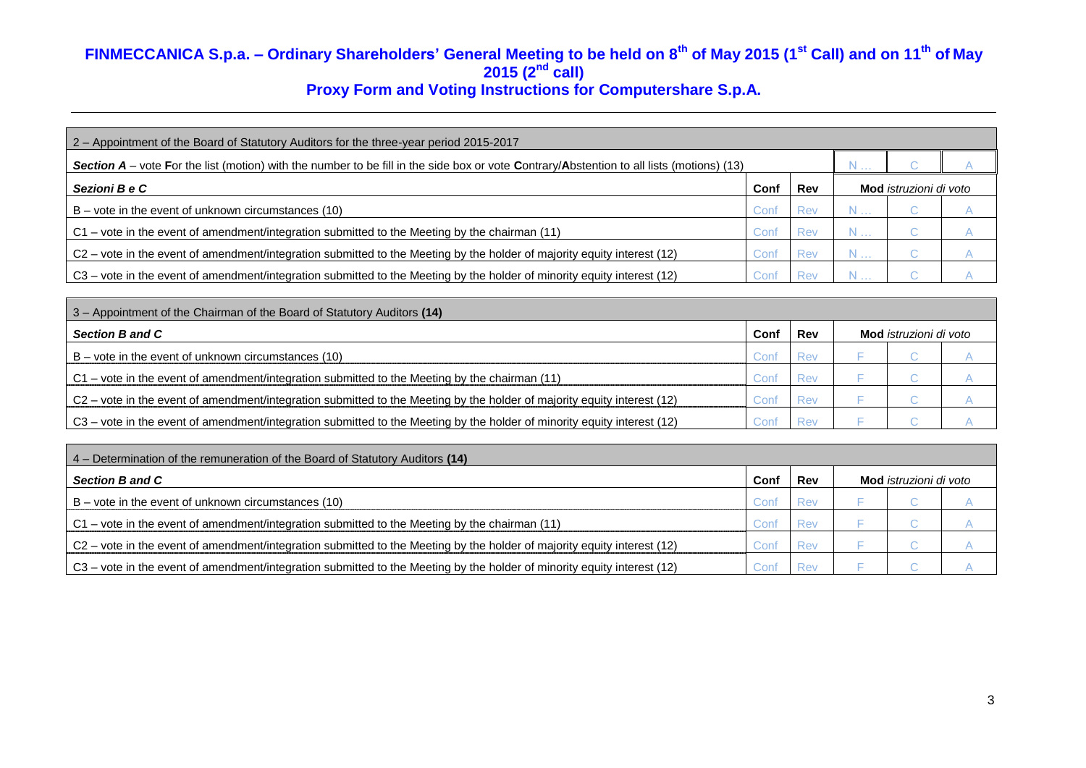| 2 - Appointment of the Board of Statutory Auditors for the three-year period 2015-2017                                                           |        |            |            |                               |  |
|--------------------------------------------------------------------------------------------------------------------------------------------------|--------|------------|------------|-------------------------------|--|
| <b>Section A</b> – vote For the list (motion) with the number to be fill in the side box or vote Contrary/Abstention to all lists (motions) (13) |        |            |            |                               |  |
| Sezioni B e C                                                                                                                                    | Conf   | Rev        |            | Mod <i>istruzioni di voto</i> |  |
| $B$ – vote in the event of unknown circumstances (10)                                                                                            | Cont   | Rev        | $N \ldots$ | U                             |  |
| C1 - vote in the event of amendment/integration submitted to the Meeting by the chairman (11)                                                    | Cont   | Rev        | $N \ldots$ | u                             |  |
| C2 – vote in the event of amendment/integration submitted to the Meeting by the holder of majority equity interest (12)                          | Conf   | <b>Rev</b> | $N \ldots$ |                               |  |
| C3 – vote in the event of amendment/integration submitted to the Meeting by the holder of minority equity interest (12)                          | Cont ∪ | Rev        |            |                               |  |

| 3 - Appointment of the Chairman of the Board of Statutory Auditors (14)                                                 |      |            |                        |  |
|-------------------------------------------------------------------------------------------------------------------------|------|------------|------------------------|--|
| Section B and C                                                                                                         | Conf | <b>Rev</b> | Mod istruzioni di voto |  |
| $ B - v$ ote in the event of unknown circumstances (10)                                                                 | Con′ | Rev        |                        |  |
| $C_1$ – vote in the event of amendment/integration submitted to the Meeting by the chairman (11)                        | Con' | Rev        |                        |  |
| C2 – vote in the event of amendment/integration submitted to the Meeting by the holder of majority equity interest (12) | Con' | Rev        |                        |  |
| C3 – vote in the event of amendment/integration submitted to the Meeting by the holder of minority equity interest (12) | Con1 |            |                        |  |

| 4 – Determination of the remuneration of the Board of Statutory Auditors (14)                                           |      |     |                               |  |
|-------------------------------------------------------------------------------------------------------------------------|------|-----|-------------------------------|--|
| <b>Section B and C</b>                                                                                                  | Conf | Rev | <b>Mod</b> istruzioni di voto |  |
| $B -$ vote in the event of unknown circumstances (10)                                                                   | Jon' | Rev |                               |  |
| C1 – vote in the event of amendment/integration submitted to the Meeting by the chairman (11)                           | on   | Rev |                               |  |
| C2 – vote in the event of amendment/integration submitted to the Meeting by the holder of majority equity interest (12) | ;on  | Rev |                               |  |
| C3 - vote in the event of amendment/integration submitted to the Meeting by the holder of minority equity interest (12) |      | Rev |                               |  |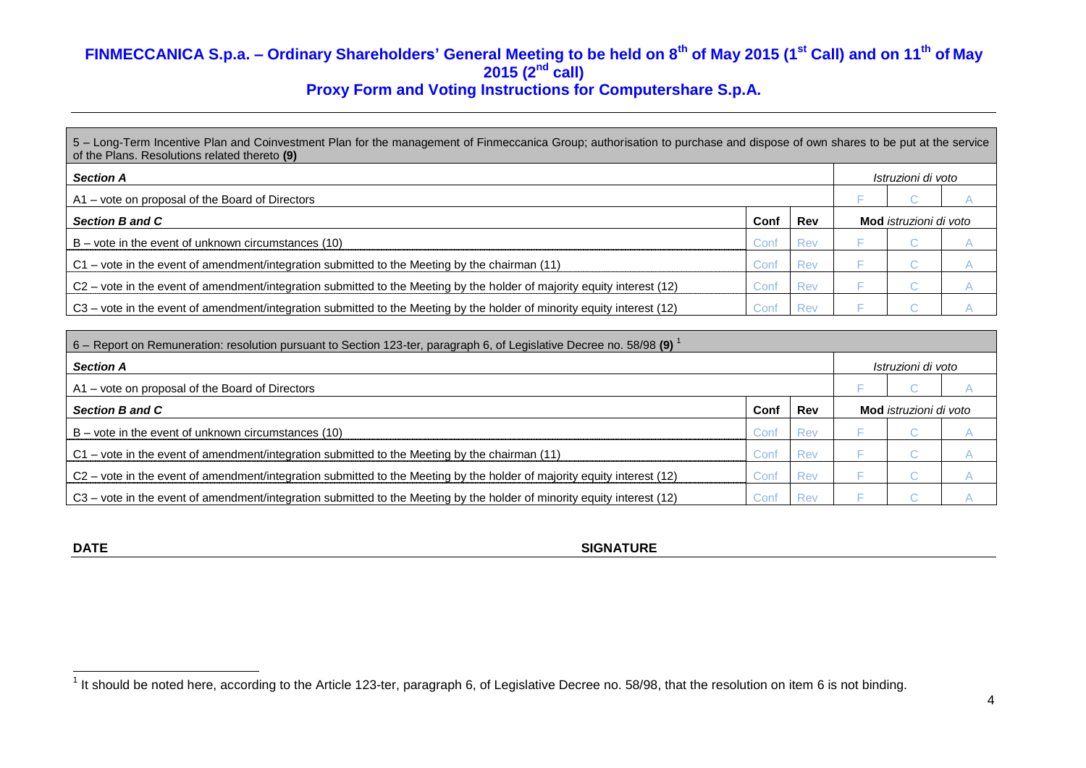5 – Long-Term Incentive Plan and Coinvestment Plan for the management of Finmeccanica Group; authorisation to purchase and dispose of own shares to be put at the service of the Plans. Resolutions related thereto **(9)**

| <b>Section A</b>                                                                                                        |        |            |  |                               | Istruzioni di voto |  |  |  |
|-------------------------------------------------------------------------------------------------------------------------|--------|------------|--|-------------------------------|--------------------|--|--|--|
| A1 – vote on proposal of the Board of Directors                                                                         |        |            |  |                               |                    |  |  |  |
| Section B and C                                                                                                         | Conf   | Rev        |  | Mod <i>istruzioni di voto</i> |                    |  |  |  |
| $B -$ vote in the event of unknown circumstances (10)                                                                   | Coni   | Rev        |  |                               |                    |  |  |  |
| C1 – vote in the event of amendment/integration submitted to the Meeting by the chairman (11)                           | ش (Con | Rev        |  |                               |                    |  |  |  |
| C2 - vote in the event of amendment/integration submitted to the Meeting by the holder of majority equity interest (12) | Con    | <b>Rev</b> |  |                               |                    |  |  |  |
| C3 – vote in the event of amendment/integration submitted to the Meeting by the holder of minority equity interest (12) | Coni   | Rev        |  |                               |                    |  |  |  |

| 6 – Report on Remuneration: resolution pursuant to Section 123-ter, paragraph 6, of Legislative Decree no. 58/98        |                    |            |                               |  |
|-------------------------------------------------------------------------------------------------------------------------|--------------------|------------|-------------------------------|--|
| <b>Section A</b>                                                                                                        | Istruzioni di voto |            |                               |  |
| A1 – vote on proposal of the Board of Directors                                                                         |                    |            |                               |  |
| <b>Section B and C</b>                                                                                                  | Conf               | <b>Rev</b> | Mod <i>istruzioni di voto</i> |  |
| $B -$ vote in the event of unknown circumstances (10)                                                                   | Conf               | <b>Rev</b> | u.                            |  |
| C1 – vote in the event of amendment/integration submitted to the Meeting by the chairman (11)                           | Conf               | Rev        |                               |  |
| C2 – vote in the event of amendment/integration submitted to the Meeting by the holder of majority equity interest (12) | Conf               | Rev        | u.                            |  |
| C3 – vote in the event of amendment/integration submitted to the Meeting by the holder of minority equity interest (12) | Conf               | Rev        | . .                           |  |

| I |  |
|---|--|
|---|--|

**SIGNATURE** 

<sup>&</sup>lt;u>nece the morn of the morn of the set of the Article 123-ter, paragraph 6, of Legislative Decree no. 58/98, that the resolution on item 6 is not binding.<br><sup>1</sup> It should be noted here, according to the Article 123-ter, parag</u>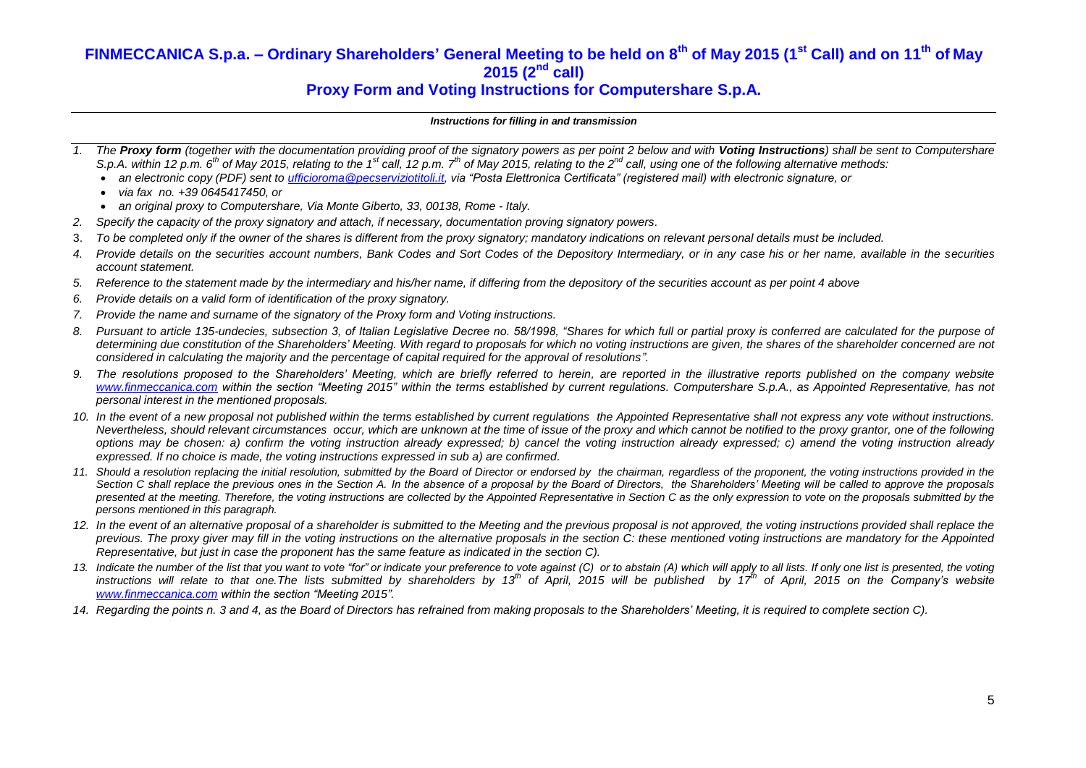## **Proxy Form and Voting Instructions for Computershare S.p.A.**

#### *Instructions for filling in and transmission*

- *The Proxy form (together with the documentation providing proof of the signatory powers as per point 2 below and with Voting Instructions*) shall be sent to Computershare S.p.A. within 12 p.m. 6<sup>th</sup> of May 2015, relating to the 1<sup>st</sup> call, 12 p.m. 7<sup>th</sup> of May 2015, relating to the 2<sup>nd</sup> call, using one of the following alternative methods:
	- *an electronic copy (PDF) sent to [ufficioroma@pecserviziotitoli.it,](mailto:ufficioroma@pecserviziotitoli.it) via "Posta Elettronica Certificata" (registered mail) with electronic signature, or*
	- *via fax no. +39 0645417450, or*
	- *an original proxy to Computershare, Via Monte Giberto, 33, 00138, Rome - Italy.*
- *2. Specify the capacity of the proxy signatory and attach, if necessary, documentation proving signatory powers.*
- 3. *To be completed only if the owner of the shares is different from the proxy signatory; mandatory indications on relevant personal details must be included.*
- *4. Provide details on the securities account numbers, Bank Codes and Sort Codes of the Depository Intermediary, or in any case his or her name, available in the securities account statement.*
- *5. Reference to the statement made by the intermediary and his/her name, if differing from the depository of the securities account as per point 4 above*
- *6. Provide details on a valid form of identification of the proxy signatory.*
- *7. Provide the name and surname of the signatory of the Proxy form and Voting instructions.*
- *8. Pursuant to article 135-undecies, subsection 3, of Italian Legislative Decree no. 58/1998, "Shares for which full or partial proxy is conferred are calculated for the purpose of determining due constitution of the Shareholders' Meeting. With regard to proposals for which no voting instructions are given, the shares of the shareholder concerned are not considered in calculating the majority and the percentage of capital required for the approval of resolutions".*
- *9. The resolutions proposed to the Shareholders' Meeting, which are briefly referred to herein, are reported in the illustrative reports published on the company website [www.finmeccanica.com](http://www.finmeccanica.com/) within the section "Meeting 2015" within the terms established by current regulations. Computershare S.p.A., as Appointed Representative, has not personal interest in the mentioned proposals.*
- *10. In the event of a new proposal not published within the terms established by current regulations the Appointed Representative shall not express any vote without instructions. Nevertheless, should relevant circumstances occur, which are unknown at the time of issue of the proxy and which cannot be notified to the proxy grantor, one of the following options may be chosen: a) confirm the voting instruction already expressed; b) cancel the voting instruction already expressed; c) amend the voting instruction already expressed. If no choice is made, the voting instructions expressed in sub a) are confirmed.*
- *11. Should a resolution replacing the initial resolution, submitted by the Board of Director or endorsed by the chairman, regardless of the proponent, the voting instructions provided in the Section C shall replace the previous ones in the Section A. In the absence of a proposal by the Board of Directors, the Shareholders' Meeting will be called to approve the proposals*  presented at the meeting. Therefore, the voting instructions are collected by the Appointed Representative in Section C as the only expression to vote on the proposals submitted by the *persons mentioned in this paragraph.*
- 12. In the event of an alternative proposal of a shareholder is submitted to the Meeting and the previous proposal is not approved, the voting instructions provided shall replace the previous. The proxy giver may fill in the voting instructions on the alternative proposals in the section C: these mentioned voting instructions are mandatory for the Appointed *Representative, but just in case the proponent has the same feature as indicated in the section C).*
- 13. Indicate the number of the list that you want to vote "for" or indicate your preference to vote against (C) or to abstain (A) which will apply to all lists. If only one list is presented, the voting *instructions will relate to that one.The lists submitted by shareholders by 13th of April, 2015 will be published by 17 th of April, 2015 on the Company's website [www.finmeccanica.com](http://www.finmeccanica.com/) within the section "Meeting 2015".*
- *14. Regarding the points n. 3 and 4, as the Board of Directors has refrained from making proposals to the Shareholders' Meeting, it is required to complete section C).*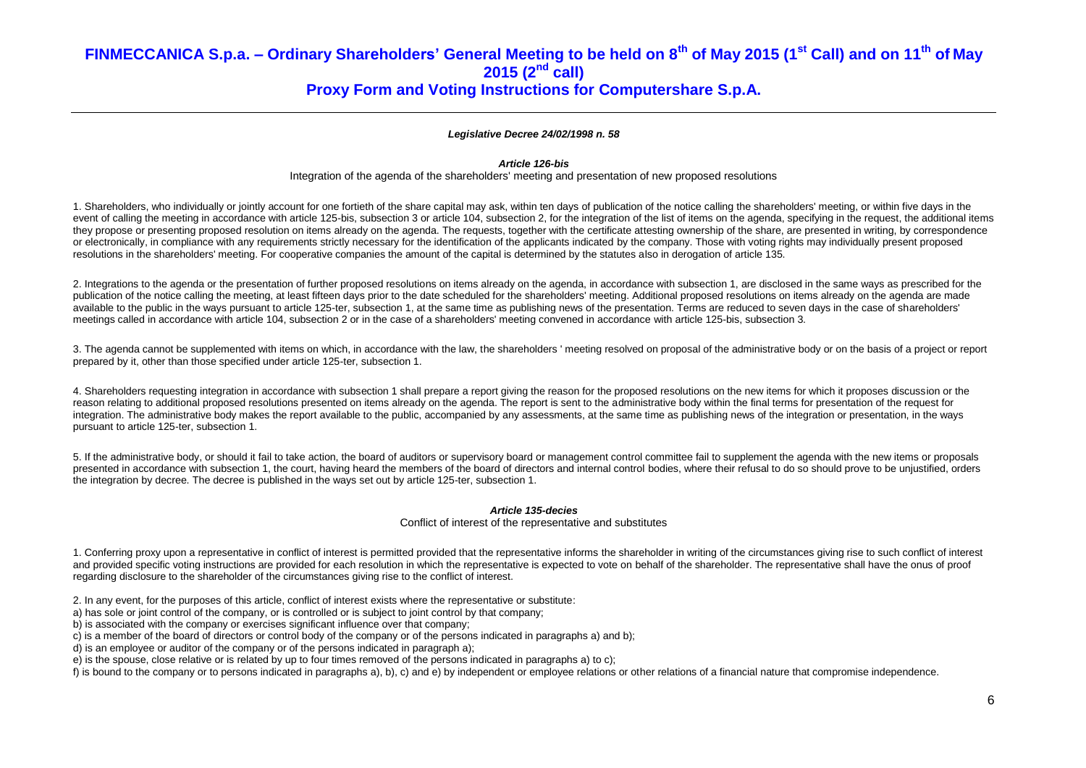## *Legislative Decree 24/02/1998 n. 58*

## *Article 126-bis*

Integration of the agenda of the shareholders' meeting and presentation of new proposed resolutions

1. Shareholders, who individually or jointly account for one fortieth of the share capital may ask, within ten days of publication of the notice calling the shareholders' meeting, or within five days in the event of calling the meeting in accordance with article 125-bis, subsection 3 or article 104, subsection 2, for the integration of the list of items on the agenda, specifying in the request, the additional items they propose or presenting proposed resolution on items already on the agenda. The requests, together with the certificate attesting ownership of the share, are presented in writing, by correspondence or electronically, in compliance with any requirements strictly necessary for the identification of the applicants indicated by the company. Those with voting rights may individually present proposed resolutions in the shareholders' meeting. For cooperative companies the amount of the capital is determined by the statutes also in derogation of article 135.

2. Integrations to the agenda or the presentation of further proposed resolutions on items already on the agenda, in accordance with subsection 1, are disclosed in the same ways as prescribed for the publication of the notice calling the meeting, at least fifteen days prior to the date scheduled for the shareholders' meeting. Additional proposed resolutions on items already on the agenda are made available to the public in the ways pursuant to article 125-ter, subsection 1, at the same time as publishing news of the presentation. Terms are reduced to seven days in the case of shareholders' meetings called in accordance with article 104, subsection 2 or in the case of a shareholders' meeting convened in accordance with article 125-bis, subsection 3.

3. The agenda cannot be supplemented with items on which, in accordance with the law, the shareholders ' meeting resolved on proposal of the administrative body or on the basis of a project or report prepared by it, other than those specified under article 125-ter, subsection 1.

4. Shareholders requesting integration in accordance with subsection 1 shall prepare a report giving the reason for the proposed resolutions on the new items for which it proposes discussion or the reason relating to additional proposed resolutions presented on items already on the agenda. The report is sent to the administrative body within the final terms for presentation of the request for integration. The administrative body makes the report available to the public, accompanied by any assessments, at the same time as publishing news of the integration or presentation, in the ways pursuant to article 125-ter, subsection 1.

5. If the administrative body, or should it fail to take action, the board of auditors or supervisory board or management control committee fail to supplement the agenda with the new items or proposals presented in accordance with subsection 1, the court, having heard the members of the board of directors and internal control bodies, where their refusal to do so should prove to be unjustified, orders the integration by decree. The decree is published in the ways set out by article 125-ter, subsection 1.

#### *Article 135-decies*

#### Conflict of interest of the representative and substitutes

1. Conferring proxy upon a representative in conflict of interest is permitted provided that the representative informs the shareholder in writing of the circumstances giving rise to such conflict of interest and provided specific voting instructions are provided for each resolution in which the representative is expected to vote on behalf of the shareholder. The representative shall have the onus of proof regarding disclosure to the shareholder of the circumstances giving rise to the conflict of interest.

- 2. In any event, for the purposes of this article, conflict of interest exists where the representative or substitute:
- a) has sole or joint control of the company, or is controlled or is subject to joint control by that company;
- b) is associated with the company or exercises significant influence over that company;
- c) is a member of the board of directors or control body of the company or of the persons indicated in paragraphs a) and b);
- d) is an employee or auditor of the company or of the persons indicated in paragraph a);
- e) is the spouse, close relative or is related by up to four times removed of the persons indicated in paragraphs a) to c);
- f) is bound to the company or to persons indicated in paragraphs a), b), c) and e) by independent or employee relations or other relations of a financial nature that compromise independence.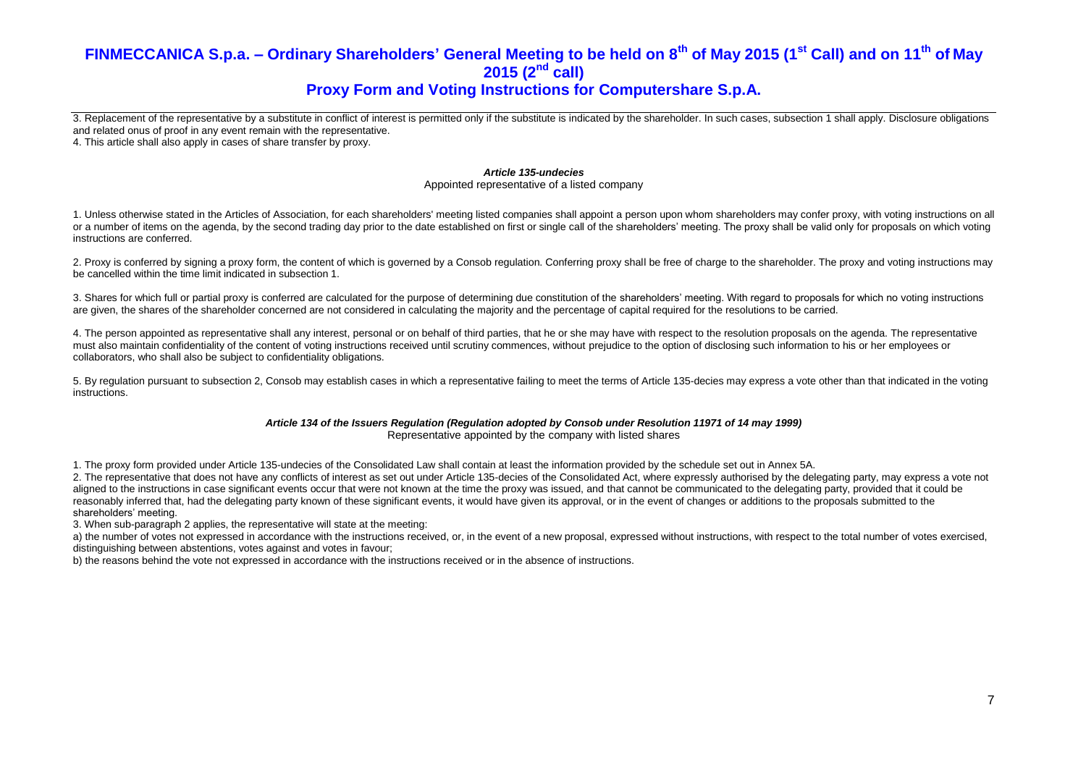# **Proxy Form and Voting Instructions for Computershare S.p.A.**

3. Replacement of the representative by a substitute in conflict of interest is permitted only if the substitute is indicated by the shareholder. In such cases, subsection 1 shall apply. Disclosure obligations and related onus of proof in any event remain with the representative.

4. This article shall also apply in cases of share transfer by proxy.

#### *Article 135-undecies*

Appointed representative of a listed company

1. Unless otherwise stated in the Articles of Association, for each shareholders' meeting listed companies shall appoint a person upon whom shareholders may confer proxy, with voting instructions on all or a number of items on the agenda, by the second trading day prior to the date established on first or single call of the shareholders' meeting. The proxy shall be valid only for proposals on which voting instructions are conferred.

2. Proxy is conferred by signing a proxy form, the content of which is governed by a Consob regulation. Conferring proxy shall be free of charge to the shareholder. The proxy and voting instructions may be cancelled within the time limit indicated in subsection 1.

3. Shares for which full or partial proxy is conferred are calculated for the purpose of determining due constitution of the shareholders' meeting. With regard to proposals for which no voting instructions are given, the shares of the shareholder concerned are not considered in calculating the majority and the percentage of capital required for the resolutions to be carried.

4. The person appointed as representative shall any interest, personal or on behalf of third parties, that he or she may have with respect to the resolution proposals on the agenda. The representative must also maintain confidentiality of the content of voting instructions received until scrutiny commences, without prejudice to the option of disclosing such information to his or her employees or collaborators, who shall also be subject to confidentiality obligations.

5. By regulation pursuant to subsection 2, Consob may establish cases in which a representative failing to meet the terms of Article 135-decies may express a vote other than that indicated in the voting instructions.

#### *Article 134 of the Issuers Regulation (Regulation adopted by Consob under Resolution 11971 of 14 may 1999)* Representative appointed by the company with listed shares

1. The proxy form provided under Article 135-undecies of the Consolidated Law shall contain at least the information provided by the schedule set out in Annex 5A.

2. The representative that does not have any conflicts of interest as set out under Article 135-decies of the Consolidated Act, where expressly authorised by the delegating party, may express a vote not aligned to the instructions in case significant events occur that were not known at the time the proxy was issued, and that cannot be communicated to the delegating party, provided that it could be reasonably inferred that, had the delegating party known of these significant events, it would have given its approval, or in the event of changes or additions to the proposals submitted to the shareholders' meeting.

3. When sub-paragraph 2 applies, the representative will state at the meeting:

a) the number of votes not expressed in accordance with the instructions received, or, in the event of a new proposal, expressed without instructions, with respect to the total number of votes exercised. distinguishing between abstentions, votes against and votes in favour;

b) the reasons behind the vote not expressed in accordance with the instructions received or in the absence of instructions.